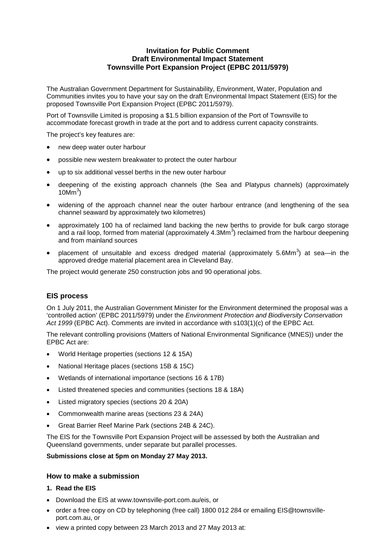## **Invitation for Public Comment Draft Environmental Impact Statement Townsville Port Expansion Project (EPBC 2011/5979)**

The Australian Government Department for Sustainability, Environment, Water, Population and Communities invites you to have your say on the draft Environmental Impact Statement (EIS) for the proposed Townsville Port Expansion Project (EPBC 2011/5979).

Port of Townsville Limited is proposing a \$1.5 billion expansion of the Port of Townsville to accommodate forecast growth in trade at the port and to address current capacity constraints.

The project's key features are:

- new deep water outer harbour
- possible new western breakwater to protect the outer harbour
- up to six additional vessel berths in the new outer harbour
- deepening of the existing approach channels (the Sea and Platypus channels) (approximately  $10$ M $m<sup>3</sup>$ )
- widening of the approach channel near the outer harbour entrance (and lengthening of the sea channel seaward by approximately two kilometres)
- approximately 100 ha of reclaimed land backing the new berths to provide for bulk cargo storage and a rail loop, formed from material (approximately 4.3Mm<sup>3</sup>) reclaimed from the harbour deepening and from mainland sources
- placement of unsuitable and excess dredged material (approximately 5.6Mm<sup>3</sup>) at sea—in the approved dredge material placement area in Cleveland Bay.

The project would generate 250 construction jobs and 90 operational jobs.

## **EIS process**

On 1 July 2011, the Australian Government Minister for the Environment determined the proposal was a 'controlled action' (EPBC 2011/5979) under the *Environment Protection and Biodiversity Conservation Act 1999* (EPBC Act). Comments are invited in accordance with s103(1)(c) of the EPBC Act.

The relevant controlling provisions (Matters of National Environmental Significance (MNES)) under the EPBC Act are:

- World Heritage properties (sections 12 & 15A)
- National Heritage places (sections 15B & 15C)
- Wetlands of international importance (sections 16 & 17B)
- Listed threatened species and communities (sections 18 & 18A)
- Listed migratory species (sections 20 & 20A)
- Commonwealth marine areas (sections 23 & 24A)
- Great Barrier Reef Marine Park (sections 24B & 24C).

The EIS for the Townsville Port Expansion Project will be assessed by both the Australian and Queensland governments, under separate but parallel processes.

**Submissions close at 5pm on Monday 27 May 2013.**

## **How to make a submission**

- **1. Read the EIS**
- Download the EIS at www.townsville-port.com.au/eis, or
- order a free copy on CD by telephoning (free call) 1800 012 284 or emailing EIS@townsvilleport.com.au, or
- view a printed copy between 23 March 2013 and 27 May 2013 at: